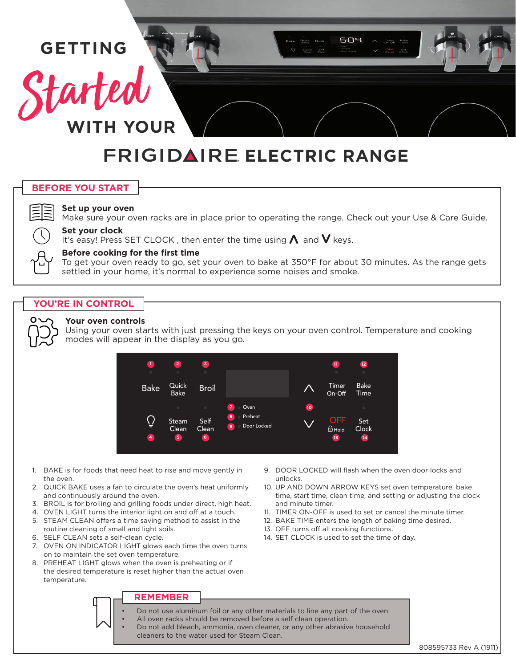## **GETTING**

Started

# **FRIGIDAIRE ELECTRIC RANGE**

## **BEFORE YOU START**



#### **Set up your oven**

Make sure your oven racks are in place prior to operating the range. Check out your Use & Care Guide.

#### **Set your clock**

It's easy! Press SET CLOCK, then enter the time using  $\Lambda$  and  $V$  keys.

## **Before cooking for the first time**

**WITH YOUR**

To get your oven ready to go, set your oven to bake at 350°F for about 30 minutes. As the range gets settled in your home, it's normal to experience some noises and smoke.

## **YOU'RE IN CONTROL**



#### **Your oven controls**

Using your oven starts with just pressing the keys on your oven control. Temperature and cooking modes will appear in the display as you go.



- 1. BAKE is for foods that need heat to rise and move gently in the oven.
- 2. QUICK BAKE uses a fan to circulate the oven's heat uniformly and continuously around the oven.
- 3. BROIL is for broiling and grilling foods under direct, high heat.
- 4. OVEN LIGHT turns the interior light on and off at a touch.
- 5. STEAM CLEAN offers a time saving method to assist in the routine cleaning of small and light soils.
- 6. SELF CLEAN sets a self-clean cycle.
- 7. OVEN ON INDICATOR LIGHT glows each time the oven turns on to maintain the set oven temperature.
- 8. PREHEAT LIGHT glows when the oven is preheating or if the desired temperature is reset higher than the actual oven temperature.

9. DOOR LOCKED will flash when the oven door locks and unlocks.

604

Timor Bake

 $\frac{\alpha_{\mathrm{edge}}}{\alpha_{\mathrm{edge}}} = \frac{\alpha_{\mathrm{roll}}}{\alpha_{\mathrm{col}}}$ 

- 10. UP AND DOWN ARROW KEYS set oven temperature, bake time, start time, clean time, and setting or adjusting the clock and minute timer.
- 11. TIMER ON-OFF is used to set or cancel the minute timer.
- 12. BAKE TIME enters the length of baking time desired.
- 13. OFF turns off all cooking functions.
- 14. SET CLOCK is used to set the time of day.

## **REMEMBER**

- Do not use aluminum foil or any other materials to line any part of the oven.
	- All oven racks should be removed before a self clean operation.
		- Do not add bleach, ammonia, oven cleaner, or any other abrasive household cleaners to the water used for Steam Clean.